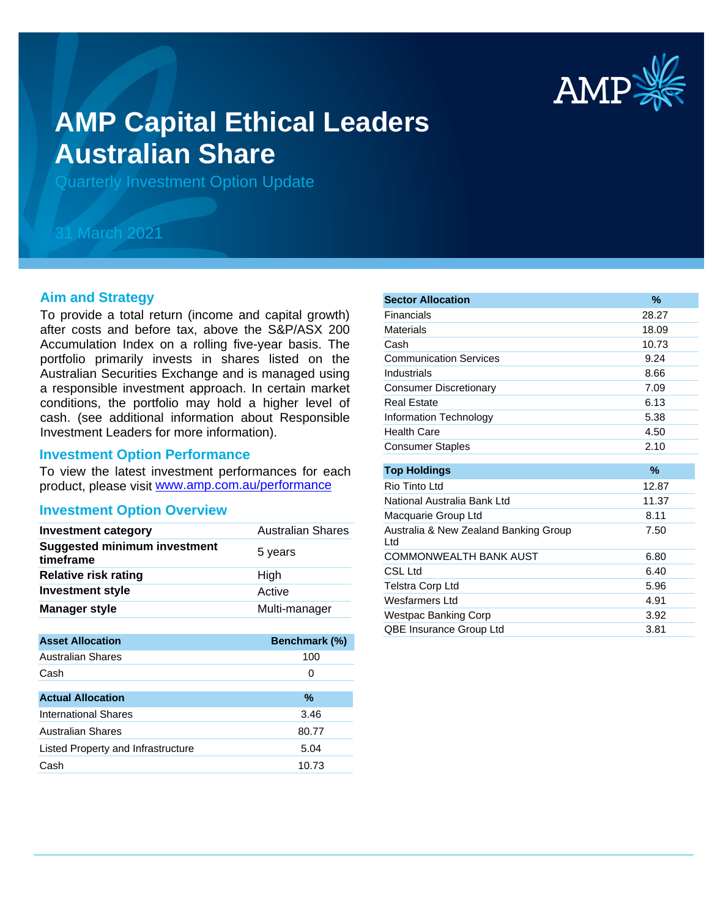

# **AMP Capital Ethical Leaders Australian Share**

Quarterly Investment Option Update

## 31 March 2021

#### **Aim and Strategy**

To provide a total return (income and capital growth) after costs and before tax, above the S&P/ASX 200 Accumulation Index on a rolling five-year basis. The portfolio primarily invests in shares listed on the Australian Securities Exchange and is managed using a responsible investment approach. In certain market conditions, the portfolio may hold a higher level of cash. (see additional information about Responsible Investment Leaders for more information).

#### **Investment Option Performance**

product, please visit www.amp.com.au/performance To view the latest investment performances for each

#### **Investment Option Overview**

| <b>Investment category</b>                       | <b>Australian Shares</b> |
|--------------------------------------------------|--------------------------|
| <b>Suggested minimum investment</b><br>timeframe | 5 years                  |
| <b>Relative risk rating</b>                      | High                     |
| <b>Investment style</b>                          | Active                   |
| <b>Manager style</b>                             | Multi-manager            |

| <b>Asset Allocation</b>            | <b>Benchmark (%)</b> |
|------------------------------------|----------------------|
| <b>Australian Shares</b>           | 100                  |
| Cash                               | 0                    |
|                                    |                      |
| <b>Actual Allocation</b>           | $\%$                 |
| International Shares               | 3.46                 |
| Australian Shares                  | 80.77                |
| Listed Property and Infrastructure | 5.04                 |
| Cash                               | 10.73                |
|                                    |                      |

| <b>Sector Allocation</b>                     | %     |
|----------------------------------------------|-------|
| Financials                                   | 28.27 |
| Materials                                    | 18.09 |
| Cash                                         | 10.73 |
| <b>Communication Services</b>                | 9.24  |
| Industrials                                  | 8.66  |
| <b>Consumer Discretionary</b>                | 7.09  |
| Real Estate                                  | 6.13  |
| Information Technology                       | 5.38  |
| <b>Health Care</b>                           | 4.50  |
| <b>Consumer Staples</b>                      | 2.10  |
|                                              |       |
| <b>Top Holdings</b>                          | $\%$  |
| Rio Tinto Ltd                                | 12.87 |
| National Australia Bank Ltd                  | 11.37 |
| Macquarie Group Ltd                          | 8.11  |
| Australia & New Zealand Banking Group<br>Ltd | 7.50  |
| <b>COMMONWEALTH BANK AUST</b>                | 6.80  |
| CSL Ltd                                      | 6.40  |
| <b>Telstra Corp Ltd</b>                      | 5.96  |
| Wesfarmers Ltd                               | 4.91  |
| Westpac Banking Corp                         | 3.92  |
| <b>QBE Insurance Group Ltd</b>               | 3.81  |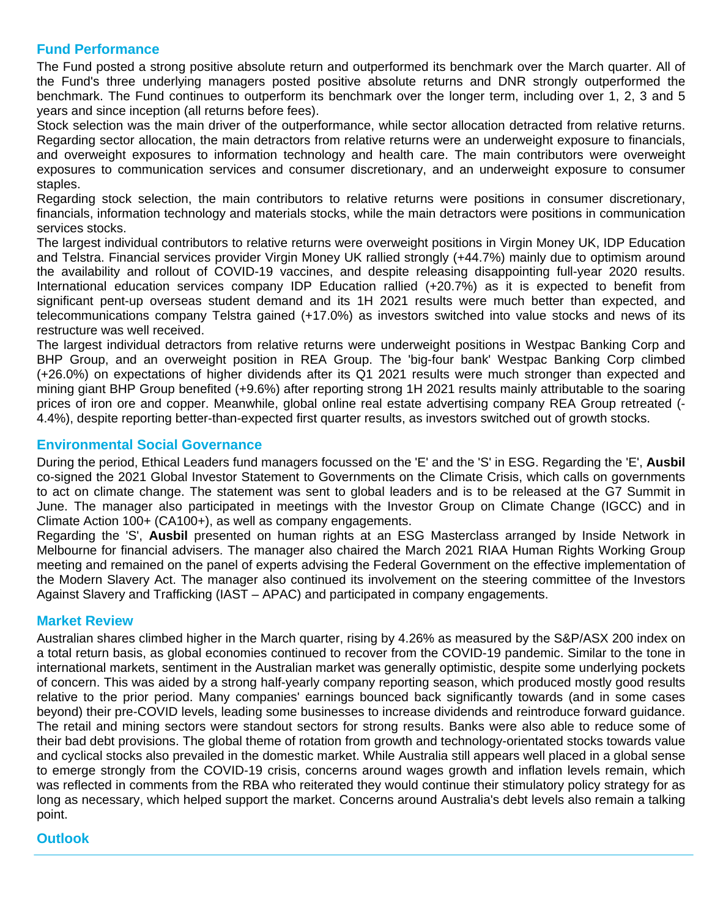#### **Fund Performance**

The Fund posted a strong positive absolute return and outperformed its benchmark over the March quarter. All of the Fund's three underlying managers posted positive absolute returns and DNR strongly outperformed the benchmark. The Fund continues to outperform its benchmark over the longer term, including over 1, 2, 3 and 5 years and since inception (all returns before fees).

Stock selection was the main driver of the outperformance, while sector allocation detracted from relative returns. Regarding sector allocation, the main detractors from relative returns were an underweight exposure to financials, and overweight exposures to information technology and health care. The main contributors were overweight exposures to communication services and consumer discretionary, and an underweight exposure to consumer staples.

Regarding stock selection, the main contributors to relative returns were positions in consumer discretionary, financials, information technology and materials stocks, while the main detractors were positions in communication services stocks.

The largest individual contributors to relative returns were overweight positions in Virgin Money UK, IDP Education and Telstra. Financial services provider Virgin Money UK rallied strongly (+44.7%) mainly due to optimism around the availability and rollout of COVID-19 vaccines, and despite releasing disappointing full-year 2020 results. International education services company IDP Education rallied (+20.7%) as it is expected to benefit from significant pent-up overseas student demand and its 1H 2021 results were much better than expected, and telecommunications company Telstra gained (+17.0%) as investors switched into value stocks and news of its restructure was well received.

The largest individual detractors from relative returns were underweight positions in Westpac Banking Corp and BHP Group, and an overweight position in REA Group. The 'big-four bank' Westpac Banking Corp climbed (+26.0%) on expectations of higher dividends after its Q1 2021 results were much stronger than expected and mining giant BHP Group benefited (+9.6%) after reporting strong 1H 2021 results mainly attributable to the soaring prices of iron ore and copper. Meanwhile, global online real estate advertising company REA Group retreated (- 4.4%), despite reporting better-than-expected first quarter results, as investors switched out of growth stocks.

#### **Environmental Social Governance**

During the period, Ethical Leaders fund managers focussed on the 'E' and the 'S' in ESG. Regarding the 'E', **Ausbil** co-signed the 2021 Global Investor Statement to Governments on the Climate Crisis, which calls on governments to act on climate change. The statement was sent to global leaders and is to be released at the G7 Summit in June. The manager also participated in meetings with the Investor Group on Climate Change (IGCC) and in Climate Action 100+ (CA100+), as well as company engagements.

Regarding the 'S', **Ausbil** presented on human rights at an ESG Masterclass arranged by Inside Network in Melbourne for financial advisers. The manager also chaired the March 2021 RIAA Human Rights Working Group meeting and remained on the panel of experts advising the Federal Government on the effective implementation of the Modern Slavery Act. The manager also continued its involvement on the steering committee of the Investors Against Slavery and Trafficking (IAST – APAC) and participated in company engagements.

#### **Market Review**

Australian shares climbed higher in the March quarter, rising by 4.26% as measured by the S&P/ASX 200 index on a total return basis, as global economies continued to recover from the COVID-19 pandemic. Similar to the tone in international markets, sentiment in the Australian market was generally optimistic, despite some underlying pockets of concern. This was aided by a strong half-yearly company reporting season, which produced mostly good results relative to the prior period. Many companies' earnings bounced back significantly towards (and in some cases beyond) their pre-COVID levels, leading some businesses to increase dividends and reintroduce forward guidance. The retail and mining sectors were standout sectors for strong results. Banks were also able to reduce some of their bad debt provisions. The global theme of rotation from growth and technology-orientated stocks towards value and cyclical stocks also prevailed in the domestic market. While Australia still appears well placed in a global sense to emerge strongly from the COVID-19 crisis, concerns around wages growth and inflation levels remain, which was reflected in comments from the RBA who reiterated they would continue their stimulatory policy strategy for as long as necessary, which helped support the market. Concerns around Australia's debt levels also remain a talking point.

 $A$ ustralian shares will likely continue to be strongly influenced by global markets and events. The hope is that, now  $\alpha$ 

### **Outlook**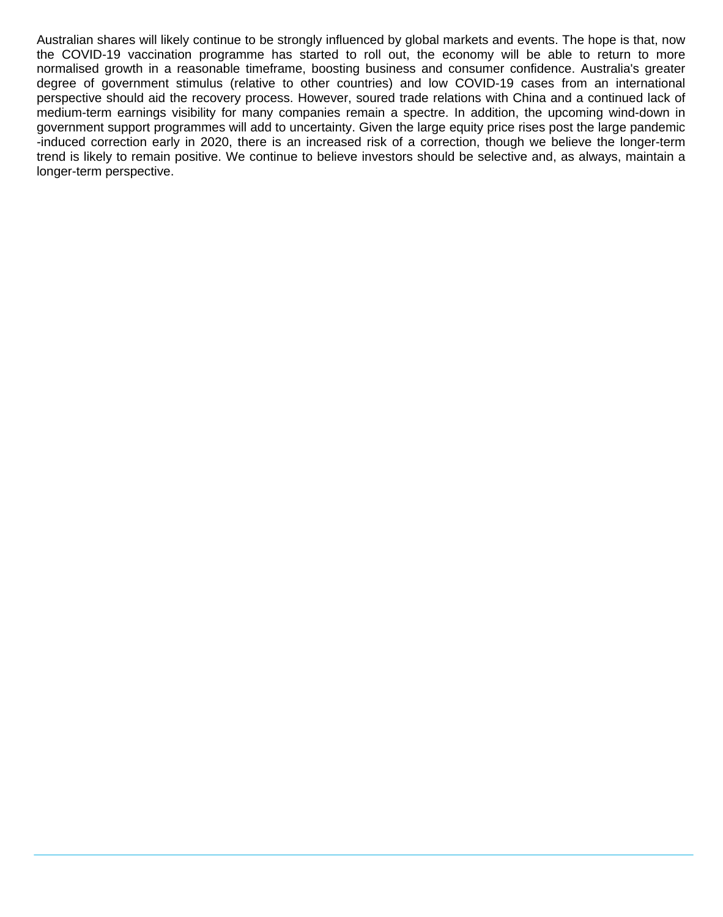Australian shares will likely continue to be strongly influenced by global markets and events. The hope is that, now the COVID-19 vaccination programme has started to roll out, the economy will be able to return to more normalised growth in a reasonable timeframe, boosting business and consumer confidence. Australia's greater degree of government stimulus (relative to other countries) and low COVID-19 cases from an international perspective should aid the recovery process. However, soured trade relations with China and a continued lack of medium-term earnings visibility for many companies remain a spectre. In addition, the upcoming wind-down in government support programmes will add to uncertainty. Given the large equity price rises post the large pandemic -induced correction early in 2020, there is an increased risk of a correction, though we believe the longer-term trend is likely to remain positive. We continue to believe investors should be selective and, as always, maintain a longer-term perspective.